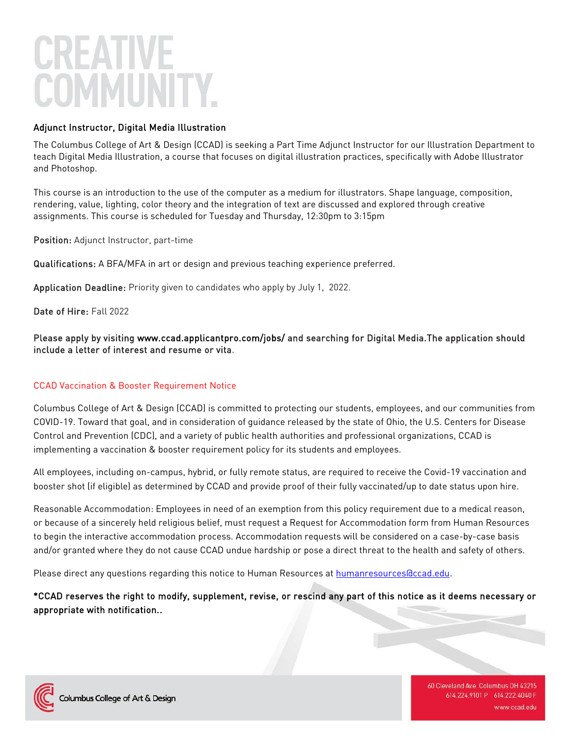# Adjunct Instructor, Digital Media Illustration

The Columbus College of Art & Design (CCAD) is seeking a Part Time Adjunct Instructor for our Illustration Department to teach Digital Media Illustration, a course that focuses on digital illustration practices, specifically with Adobe Illustrator and Photoshop.

This course is an introduction to the use of the computer as a medium for illustrators. Shape language, composition, rendering, value, lighting, color theory and the integration of text are discussed and explored through creative assignments. This course is scheduled for Tuesday and Thursday, 12:30pm to 3:15pm

Position: Adjunct Instructor, part-time

Qualifications: A BFA/MFA in art or design and previous teaching experience preferred.

Application Deadline: Priority given to candidates who apply by July 1, 2022.

Date of Hire: Fall 2022

Please apply by visiting [www.ccad.applicantpro.com/jobs/ a](http://www.ccad.applicantpro.com/jobs/)nd searching for Digital Media.The application should include a letter of interest and resume or vita.

## CCAD Vaccination & Booster Requirement Notice

Columbus College of Art & Design (CCAD) is committed to protecting our students, employees, and our communities from COVID-19. Toward that goal, and in consideration of guidance released by the state of Ohio, the U.S. Centers for Disease Control and Prevention (CDC), and a variety of public health authorities and professional organizations, CCAD is implementing a vaccination & booster requirement policy for its students and employees.

All employees, including on-campus, hybrid, or fully remote status, are required to receive the Covid-19 vaccination and booster shot (if eligible) as determined by CCAD and provide proof of their fully vaccinated/up to date status upon hire.

Reasonable Accommodation: Employees in need of an exemption from this policy requirement due to a medical reason, or because of a sincerely held religious belief, must request a Request for Accommodation form from Human Resources to begin the interactive accommodation process. Accommodation requests will be considered on a case-by-case basis and/or granted where they do not cause CCAD undue hardship or pose a direct threat to the health and safety of others.

Please direct any questions regarding this notice to Human Resources at humanresources accad.edu.

# \*CCAD reserves the right to modify, supplement, revise, or rescind any part of this notice as it deems necessary or appropriate with notification..